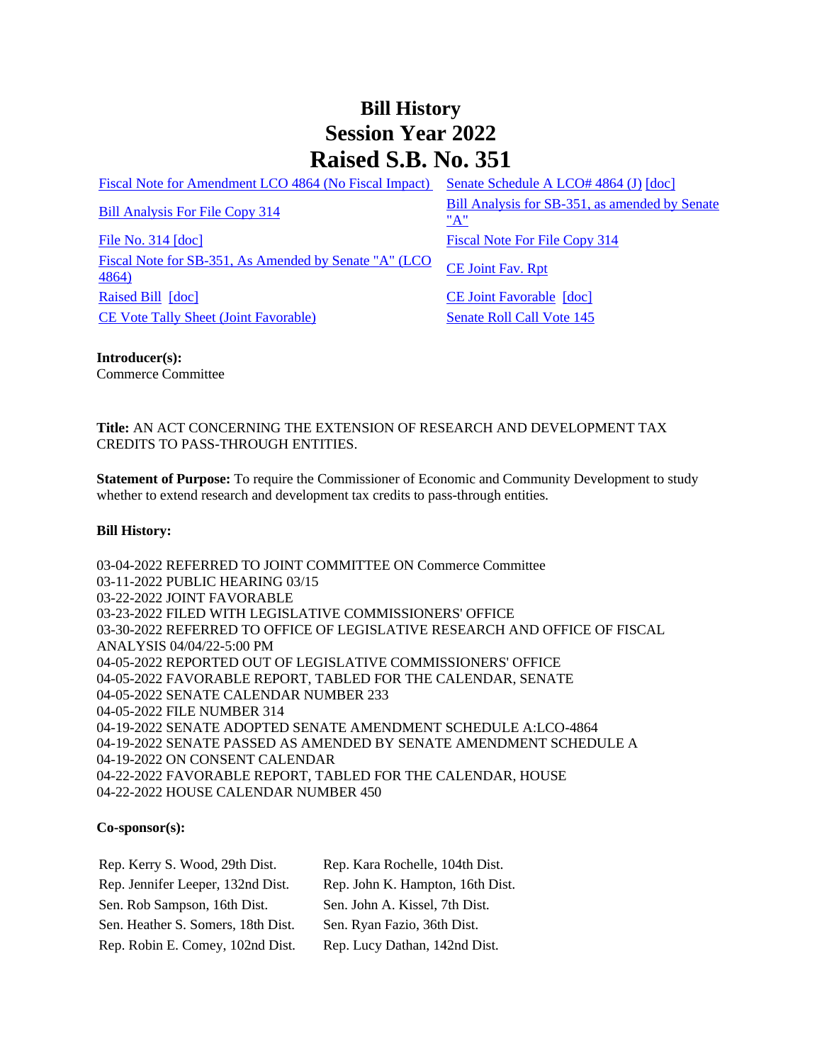## **Bill History Session Year 2022 Raised S.B. No. 351**

[Fiscal Note for Amendment LCO 4864 \(No Fiscal Impact\)](/2022/fna/pdf/2022SB-00351-R00LCO04864-FNA.PDF) [Senate Schedule A LCO# 4864 \(J\)](/2022/amd/S/pdf/2022SB-00351-R00SA-AMD.pdf) [\[doc\]](https://search.cga.state.ct.us/dl2022/AMd/DOC/2022SB-00351-R00SA-AMD.Docx)

[File No. 314](/2022/FC/PDF/2022SB-00351-R000314-FC.PDF) [\[doc\]](https://search.cga.state.ct.us/dl2022/fc/doc/2022SB-00351-R000314-FC.docx) [Fiscal Note For File Copy 314](/2022/FN/PDF/2022SB-00351-R000314-FN.PDF) [Fiscal Note for SB-351, As Amended by Senate "A" \(LCO](/2022/FN/PDF/2022SB-00351-R01-FN.PDF) CE Joint Fav. Rpt [4864\)](/2022/FN/PDF/2022SB-00351-R01-FN.PDF) [Raised Bill](/2022/TOB/S/PDF/2022SB-00351-R00-SB.PDF) [\[doc\]](https://search.cga.state.ct.us/dl2022/TOB/DOC/2022SB-00351-R01-SB.DOCX) [CE Joint Favorable](/2022/TOB/S/PDF/2022SB-00351-R01-SB.PDF) [doc] [CE Vote Tally Sheet \(Joint Favorable\)](/2022/TS/S/PDF/2022SB-00351-R00CE-CV55-TS.PDF) Senate Roll Call Vote 145

[Bill Analysis For File Copy 314](/2022/BA/PDF/2022SB-00351-R000314-BA.PDF) Bill Analysis for SB-351, as amended by Senate ["A"](/2022/BA/PDF/2022SB-00351-R01-BA.PDF)

**Introducer(s):** Commerce Committee

**Title:** AN ACT CONCERNING THE EXTENSION OF RESEARCH AND DEVELOPMENT TAX CREDITS TO PASS-THROUGH ENTITIES.

**Statement of Purpose:** To require the Commissioner of Economic and Community Development to study whether to extend research and development tax credits to pass-through entities.

## **Bill History:**

03-04-2022 REFERRED TO JOINT COMMITTEE ON Commerce Committee 03-11-2022 PUBLIC HEARING 03/15 03-22-2022 JOINT FAVORABLE 03-23-2022 FILED WITH LEGISLATIVE COMMISSIONERS' OFFICE 03-30-2022 REFERRED TO OFFICE OF LEGISLATIVE RESEARCH AND OFFICE OF FISCAL ANALYSIS 04/04/22-5:00 PM 04-05-2022 REPORTED OUT OF LEGISLATIVE COMMISSIONERS' OFFICE 04-05-2022 FAVORABLE REPORT, TABLED FOR THE CALENDAR, SENATE 04-05-2022 SENATE CALENDAR NUMBER 233 04-05-2022 FILE NUMBER 314 04-19-2022 SENATE ADOPTED SENATE AMENDMENT SCHEDULE A:LCO-4864 04-19-2022 SENATE PASSED AS AMENDED BY SENATE AMENDMENT SCHEDULE A 04-19-2022 ON CONSENT CALENDAR 04-22-2022 FAVORABLE REPORT, TABLED FOR THE CALENDAR, HOUSE 04-22-2022 HOUSE CALENDAR NUMBER 450

## **Co-sponsor(s):**

| Rep. Kerry S. Wood, 29th Dist.     | Rep. Kara Rochelle, 104th Dist.  |
|------------------------------------|----------------------------------|
| Rep. Jennifer Leeper, 132nd Dist.  | Rep. John K. Hampton, 16th Dist. |
| Sen. Rob Sampson, 16th Dist.       | Sen. John A. Kissel, 7th Dist.   |
| Sen. Heather S. Somers, 18th Dist. | Sen. Ryan Fazio, 36th Dist.      |
| Rep. Robin E. Comey, 102nd Dist.   | Rep. Lucy Dathan, 142nd Dist.    |